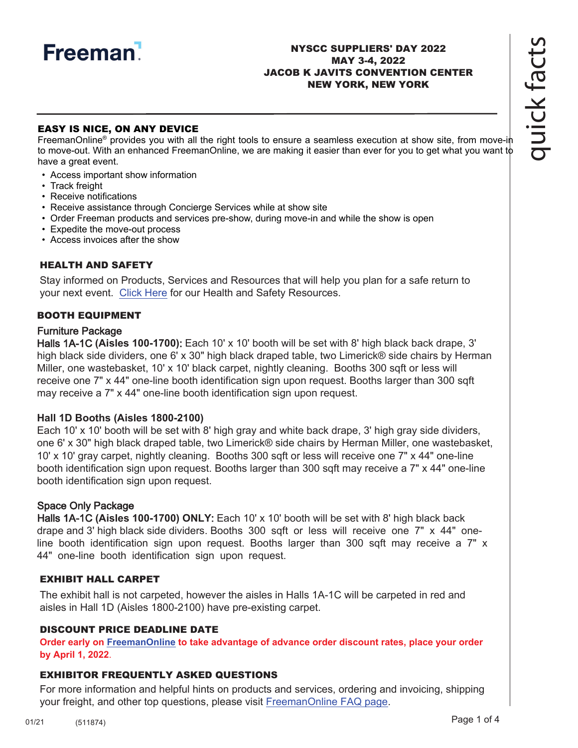

### NYSCC SUPPLIERS' DAY 2022 MAY 3-4, 2022 JACOB K JAVITS CONVENTION CENTER NEW YORK, NEW YORK

## EASY IS NICE, ON ANY DEVICE

FreemanOnline<sup>®</sup> provides you with all the right tools to ensure a seamless execution at show site, from move-in to move-out. With an enhanced FreemanOnline, we are making it easier than ever for you to get what you want to have a great event.

- Access important show information
- Track freight
- Receive notifications
- Receive assistance through Concierge Services while at show site
- Order Freeman products and services pre-show, during move-in and while the show is open
- Expedite the move-out process
- Access invoices after the show

### HEALTH AND SAFETY

Stay informed on Products, Services and Resources that will help you plan for a safe return to your next event. [Click Here](https://www.freeman.com/resources/collection/how-to-safely-return-to-exhibiting/) for our Health and Safety Resources.

### BOOTH EQUIPMENT

### Furniture Package

Halls 1A-1C **(Aisles 100-1700)**: Each 10' x 10' booth will be set with 8' high black back drape, 3' high black side dividers, one 6' x 30" high black draped table, two Limerick® side chairs by Herman Miller, one wastebasket, 10' x 10' black carpet, nightly cleaning. Booths 300 sqft or less will receive one 7" x 44" one-line booth identification sign upon request. Booths larger than 300 sqft may receive a 7" x 44" one-line booth identification sign upon request.

### **Hall 1D Booths (Aisles 1800-2100)**

Each 10' x 10' booth will be set with 8' high gray and white back drape, 3' high gray side dividers, one 6' x 30" high black draped table, two Limerick® side chairs by Herman Miller, one wastebasket, 10' x 10' gray carpet, nightly cleaning. Booths 300 sqft or less will receive one 7" x 44" one-line booth identification sign upon request. Booths larger than 300 sqft may receive a 7" x 44" one-line booth identification sign upon request.

### Space Only Package

Halls 1A-1C **(Aisles 100-1700) ONLY**: Each 10' x 10' booth will be set with 8' high black back drape and 3' high black side dividers. Booths 300 sqft or less will receive one 7" x 44" oneline booth identification sign upon request. Booths larger than 300 sqft may receive a  $7" x$ 44" one-line booth identification sign upon request.

### EXHIBIT HALL CARPET

The exhibit hall is not carpeted, however the aisles in Halls 1A-1C will be carpeted in red and aisles in Hall 1D (Aisles 1800-2100) have pre-existing carpet.

## DISCOUNT PRICE DEADLINE DATE

**Order early on [FreemanOnline](https://www.freemanco.com/store?utm_source=Forms&utm_medium=PDF) to take advantage of advance order discount rates, place your order by April 1, 2022**.

### EXHIBITOR FREQUENTLY ASKED QUESTIONS

For more information and helpful hints on products and services, ordering and invoicing, shipping your freight, and other top questions, please visit [FreemanOnline FAQ page.](https://www.freemanco.com/store/faqs)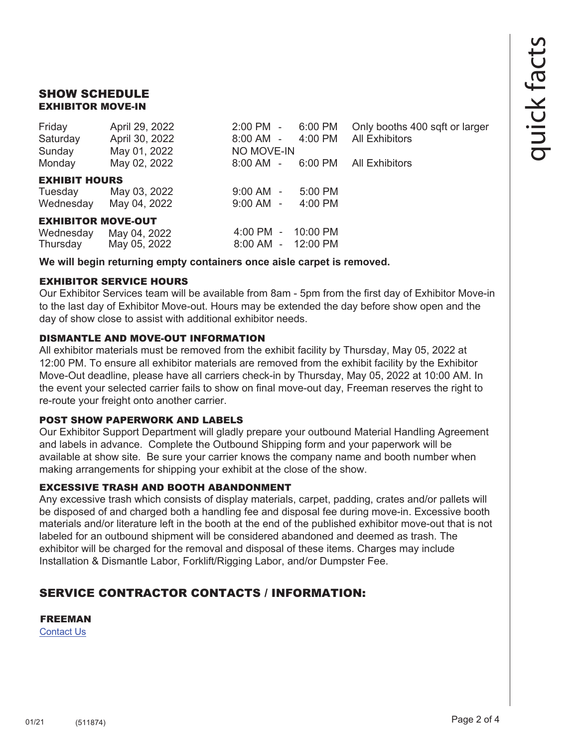# SHOW SCHEDULE EXHIBITOR MOVE-IN

| Friday<br>Saturday<br>Sunday | April 29, 2022<br>April 30, 2022<br>May 01, 2022 | $2:00$ PM $-$<br>8:00 AM -<br>NO MOVE-IN | 6:00 PM<br>4:00 PM | Only booths 400 sqft or larger<br><b>All Exhibitors</b> |
|------------------------------|--------------------------------------------------|------------------------------------------|--------------------|---------------------------------------------------------|
| Monday                       | May 02, 2022                                     | $8:00$ AM $-$                            | 6:00 PM            | All Exhibitors                                          |
| <b>EXHIBIT HOURS</b>         |                                                  |                                          |                    |                                                         |
| Tuesday                      | May 03, 2022                                     | $9:00$ AM $-$                            | $5:00$ PM          |                                                         |
| Wednesday                    | May 04, 2022                                     | $9:00$ AM $-$                            | $4:00$ PM          |                                                         |
| <b>EXHIBITOR MOVE-OUT</b>    |                                                  |                                          |                    |                                                         |
| Wednesday                    | May 04, 2022                                     | $4:00 \, \text{PM}$ -                    | 10:00 PM           |                                                         |
| Thursday                     | May 05, 2022                                     | $8:00 \, \text{AM}$ -                    | 12:00 PM           |                                                         |

# **We will begin returning empty containers once aisle carpet is removed.**

# EXHIBITOR SERVICE HOURS

Our Exhibitor Services team will be available from 8am - 5pm from the first day of Exhibitor Move-in to the last day of Exhibitor Move-out. Hours may be extended the day before show open and the day of show close to assist with additional exhibitor needs.

# DISMANTLE AND MOVE-OUT INFORMATION

All exhibitor materials must be removed from the exhibit facility by Thursday, May 05, 2022 at 12:00 PM. To ensure all exhibitor materials are removed from the exhibit facility by the Exhibitor Move-Out deadline, please have all carriers check-in by Thursday, May 05, 2022 at 10:00 AM. In the event your selected carrier fails to show on final move-out day, Freeman reserves the right to re-route your freight onto another carrier.

# POST SHOW PAPERWORK AND LABELS

Our Exhibitor Support Department will gladly prepare your outbound Material Handling Agreement and labels in advance. Complete the Outbound Shipping form and your paperwork will be available at show site. Be sure your carrier knows the company name and booth number when making arrangements for shipping your exhibit at the close of the show.

# EXCESSIVE TRASH AND BOOTH ABANDONMENT

Any excessive trash which consists of display materials, carpet, padding, crates and/or pallets will be disposed of and charged both a handling fee and disposal fee during move-in. Excessive booth materials and/or literature left in the booth at the end of the published exhibitor move-out that is not labeled for an outbound shipment will be considered abandoned and deemed as trash. The exhibitor will be charged for the removal and disposal of these items. Charges may include Installation & Dismantle Labor, Forklift/Rigging Labor, and/or Dumpster Fee.

# SERVICE CONTRACTOR CONTACTS / INFORMATION:

# FREEMAN

[Contact Us](https://www.freemanco.com/store/faqs#contactUS)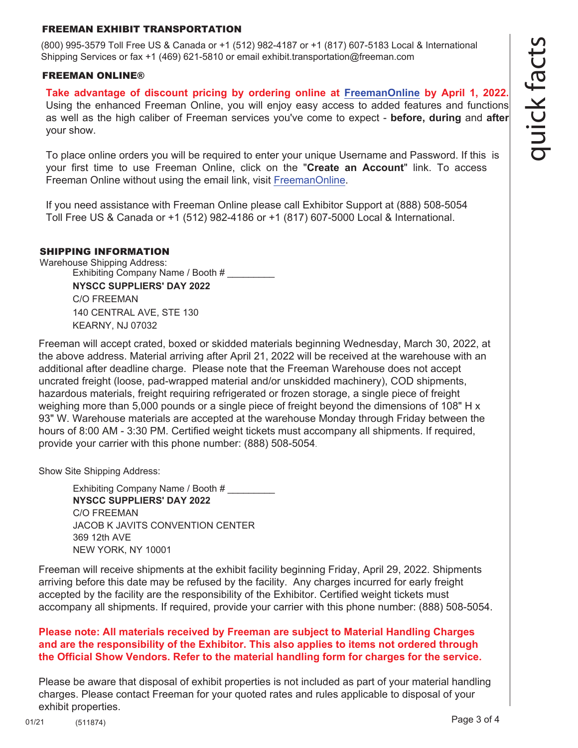### FREEMAN EXHIBIT TRANSPORTATION

(800) 995-3579 Toll Free US & Canada or +1 (512) 982-4187 or +1 (817) 607-5183 Local & International Shipping Services or fax +1 (469) 621-5810 or email exhibit.transportation@freeman.com

#### FREEMAN ONLINE®

**Take advantage of discount pricing by ordering online at [FreemanOnline](https://www.freemanco.com/store?utm_source=Forms&utm_medium=PDF) by April 1, 2022.** Using the enhanced Freeman Online, you will enjoy easy access to added features and functions as well as the high caliber of Freeman services you've come to expect - **before, during** and **after** your show.

To place online orders you will be required to enter your unique Username and Password. If this is your first time to use Freeman Online, click on the "**Create an Account**" link. To access Freeman Online without using the email link, visit [FreemanOnline.](https://www.freemanco.com/store?utm_source=Forms&utm_medium=PDF)

If you need assistance with Freeman Online please call Exhibitor Support at (888) 508-5054 Toll Free US & Canada or +1 (512) 982-4186 or +1 (817) 607-5000 Local & International.

### SHIPPING INFORMATION

Warehouse Shipping Address: Exhibiting Company Name / Booth # **NYSCC SUPPLIERS' DAY 2022** C/O FREEMAN 140 CENTRAL AVE, STE 130 KEARNY, NJ 07032

Freeman will accept crated, boxed or skidded materials beginning Wednesday, March 30, 2022, at the above address. Material arriving after April 21, 2022 will be received at the warehouse with an additional after deadline charge. Please note that the Freeman Warehouse does not accept uncrated freight (loose, pad-wrapped material and/or unskidded machinery), COD shipments, hazardous materials, freight requiring refrigerated or frozen storage, a single piece of freight weighing more than 5,000 pounds or a single piece of freight beyond the dimensions of 108" H x 93" W. Warehouse materials are accepted at the warehouse Monday through Friday between the hours of 8:00 AM - 3:30 PM. Certified weight tickets must accompany all shipments. If required, provide your carrier with this phone number: (888) 508-5054.

Show Site Shipping Address:

Exhibiting Company Name / Booth # **NYSCC SUPPLIERS' DAY 2022** C/O FREEMAN JACOB K JAVITS CONVENTION CENTER 369 12th AVE NEW YORK, NY 10001

Freeman will receive shipments at the exhibit facility beginning Friday, April 29, 2022. Shipments arriving before this date may be refused by the facility. Any charges incurred for early freight accepted by the facility are the responsibility of the Exhibitor. Certified weight tickets must accompany all shipments. If required, provide your carrier with this phone number: (888) 508-5054.

## **Please note: All materials received by Freeman are subject to Material Handling Charges and are the responsibility of the Exhibitor. This also applies to items not ordered through the Official Show Vendors. Refer to the material handling form for charges for the service.**

Please be aware that disposal of exhibit properties is not included as part of your material handling charges. Please contact Freeman for your quoted rates and rules applicable to disposal of your exhibit properties.